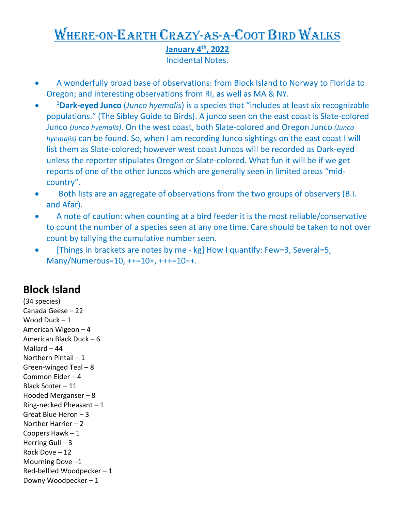## Where-on-Earth Crazy-as-a-Coot Bird Walks **January 4th, 2022**

Incidental Notes.

- A wonderfully broad base of observations: from Block Island to Norway to Florida to Oregon; and interesting observations from RI, as well as MA & NY.
- 1 **Dark-eyed Junco** (*Junco hyemalis*) is a species that "includes at least six recognizable populations." (The Sibley Guide to Birds). A junco seen on the east coast is Slate-colored Junco *(Junco hyemalis)*. On the west coast, both Slate-colored and Oregon Junco *(Junco hyemalis)* can be found. So, when I am recording Junco sightings on the east coast I will list them as Slate-colored; however west coast Juncos will be recorded as Dark-eyed unless the reporter stipulates Oregon or Slate-colored. What fun it will be if we get reports of one of the other Juncos which are generally seen in limited areas "midcountry".
- Both lists are an aggregate of observations from the two groups of observers (B.I. and Afar).
- A note of caution: when counting at a bird feeder it is the most reliable/conservative to count the number of a species seen at any one time. Care should be taken to not over count by tallying the cumulative number seen.
- [Things in brackets are notes by me kg] How I quantify: Few=3, Several=5, Many/Numerous=10, ++=10+, +++=10++.

## **Block Island**

(34 species) Canada Geese – 22 Wood Duck – 1 American Wigeon – 4 American Black Duck – 6 Mallard – 44 Northern Pintail – 1 Green-winged Teal – 8 Common Eider – 4 Black Scoter – 11 Hooded Merganser – 8 Ring-necked Pheasant – 1 Great Blue Heron – 3 Norther Harrier – 2 Coopers Hawk – 1 Herring Gull  $-3$ Rock Dove – 12 Mourning Dove –1 Red-bellied Woodpecker – 1 Downy Woodpecker – 1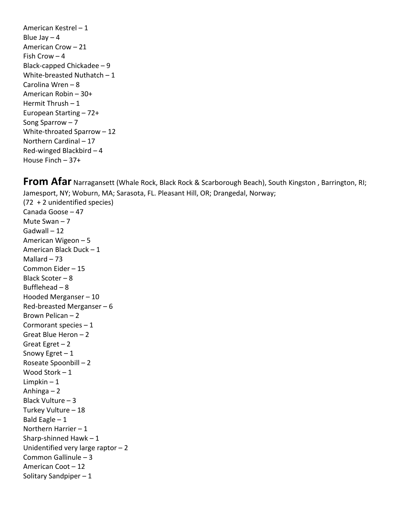American Kestrel – 1 Blue Jay  $-4$ American Crow – 21 Fish Crow – 4 Black-capped Chickadee – 9 White-breasted Nuthatch – 1 Carolina Wren – 8 American Robin – 30+ Hermit Thrush – 1 European Starting – 72+ Song Sparrow – 7 White-throated Sparrow – 12 Northern Cardinal – 17 Red-winged Blackbird – 4 House Finch – 37+

Sharp-shinned Hawk – 1

Common Gallinule – 3 American Coot – 12 Solitary Sandpiper – 1

Unidentified very large raptor – 2

**From Afar** Narragansett (Whale Rock, Black Rock & Scarborough Beach), South Kingston , Barrington, RI; Jamesport, NY; Woburn, MA; Sarasota, FL. Pleasant Hill, OR; Drangedal, Norway; (72 + 2 unidentified species) Canada Goose – 47 Mute Swan – 7 Gadwall – 12 American Wigeon – 5 American Black Duck – 1 Mallard  $-73$ Common Eider – 15 Black Scoter – 8 Bufflehead – 8 Hooded Merganser – 10 Red-breasted Merganser – 6 Brown Pelican – 2 Cormorant species – 1 Great Blue Heron – 2 Great Egret  $-2$ Snowy Egret – 1 Roseate Spoonbill – 2 Wood Stork – 1 Limpkin – 1 Anhinga – 2 Black Vulture – 3 Turkey Vulture – 18 Bald Eagle  $-1$ Northern Harrier – 1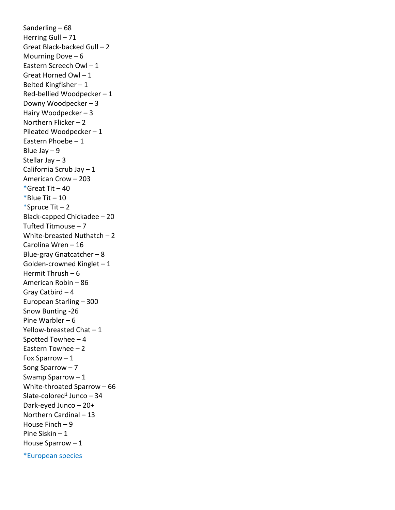Sanderling – 68 Herring Gull – 71 Great Black-backed Gull – 2 Mourning Dove  $-6$ Eastern Screech Owl – 1 Great Horned Owl – 1 Belted Kingfisher – 1 Red-bellied Woodpecker – 1 Downy Woodpecker – 3 Hairy Woodpecker – 3 Northern Flicker – 2 Pileated Woodpecker – 1 Eastern Phoebe – 1 Blue Jay  $-9$ Stellar Jay – 3 California Scrub Jay – 1 American Crow – 203  $*$ Great Tit – 40 \*Blue Tit  $-10$ \*Spruce Tit  $-2$ Black-capped Chickadee – 20 Tufted Titmouse – 7 White-breasted Nuthatch – 2 Carolina Wren – 16 Blue-gray Gnatcatcher – 8 Golden-crowned Kinglet – 1 Hermit Thrush – 6 American Robin – 86 Gray Catbird – 4 European Starling – 300 Snow Bunting -26 Pine Warbler – 6 Yellow-breasted Chat – 1 Spotted Towhee – 4 Eastern Towhee – 2 Fox Sparrow – 1 Song Sparrow – 7 Swamp Sparrow – 1 White-throated Sparrow – 66 Slate-colored<sup>1</sup> Junco – 34 Dark-eyed Junco – 20+ Northern Cardinal – 13 House Finch – 9 Pine Siskin – 1 House Sparrow – 1

\*European species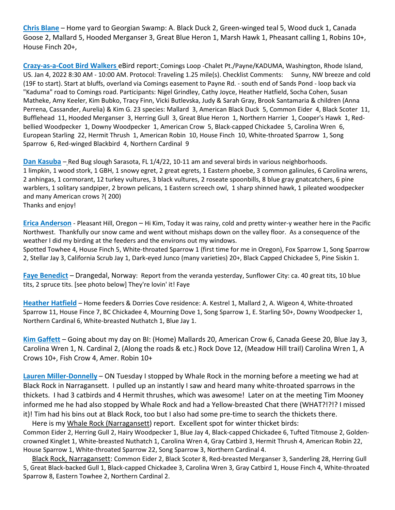**Chris Blane** – Home yard to Georgian Swamp: A. Black Duck 2, Green-winged teal 5, Wood duck 1, Canada Goose 2, Mallard 5, Hooded Merganser 3, Great Blue Heron 1, Marsh Hawk 1, Pheasant calling 1, Robins 10+, House Finch 20+,

**Crazy-as-a-Coot Bird Walkers** eBird report: Comings Loop -Chalet Pt./Payne/KADUMA, Washington, Rhode Island, US. Jan 4, 2022 8:30 AM - 10:00 AM. Protocol: Traveling 1.25 mile(s). Checklist Comments: Sunny, NW breeze and cold (19F to start). Start at bluffs, overland via Comings easement to Payne Rd. - south end of Sands Pond - loop back via "Kaduma" road to Comings road. Participants: Nigel Grindley, Cathy Joyce, Heather Hatfield, Socha Cohen, Susan Matheke, Amy Keeler, Kim Bubko, Tracy Finn, Vicki Butlevska, Judy & Sarah Gray, Brook Santamaria & children (Anna Perrena, Cassander, Aurelia) & Kim G. 23 species: Mallard 3, American Black Duck 5, Common Eider 4, Black Scoter 11, Bufflehead 11, Hooded Merganser 3, Herring Gull 3, Great Blue Heron 1, Northern Harrier 1, Cooper's Hawk 1, Redbellied Woodpecker 1, Downy Woodpecker 1, American Crow 5, Black-capped Chickadee 5, Carolina Wren 6, European Starling 22, Hermit Thrush 1, American Robin 10, House Finch 10, White-throated Sparrow 1, Song Sparrow 6, Red-winged Blackbird 4, Northern Cardinal 9

**Dan Kasuba** – Red Bug slough Sarasota, FL 1/4/22, 10-11 am and several birds in various neighborhoods. 1 limpkin, 1 wood stork, 1 GBH, 1 snowy egret, 2 great egrets, 1 Eastern phoebe, 3 common galinules, 6 Carolina wrens, 2 anhingas, 1 cormorant, 12 turkey vultures, 3 black vultures, 2 roseate spoonbills, 8 blue gray gnatcatchers, 6 pine warblers, 1 solitary sandpiper, 2 brown pelicans, 1 Eastern screech owl, 1 sharp shinned hawk, 1 pileated woodpecker and many American crows ?( 200) Thanks and enjoy!

**Erica Anderson** - Pleasant Hill, Oregon – Hi Kim, Today it was rainy, cold and pretty winter-y weather here in the Pacific Northwest. Thankfully our snow came and went without mishaps down on the valley floor. As a consequence of the weather I did my birding at the feeders and the environs out my windows.

Spotted Towhee 4, House Finch 5, White-throated Sparrow 1 (first time for me in Oregon), Fox Sparrow 1, Song Sparrow 2, Stellar Jay 3, California Scrub Jay 1, Dark-eyed Junco (many varieties) 20+, Black Capped Chickadee 5, Pine Siskin 1.

**Faye Benedict** – Drangedal, Norway: Report from the veranda yesterday, Sunflower City: ca. 40 great tits, 10 blue tits, 2 spruce tits. [see photo below] They're lovin' it! Faye

**Heather Hatfield** – Home feeders & Dorries Cove residence: A. Kestrel 1, Mallard 2, A. Wigeon 4, White-throated Sparrow 11, House Fince 7, BC Chickadee 4, Mourning Dove 1, Song Sparrow 1, E. Starling 50+, Downy Woodpecker 1, Northern Cardinal 6, White-breasted Nuthatch 1, Blue Jay 1.

**Kim Gaffett** – Going about my day on BI: (Home) Mallards 20, American Crow 6, Canada Geese 20, Blue Jay 3, Carolina Wren 1, N. Cardinal 2, (Along the roads & etc.) Rock Dove 12, (Meadow Hill trail) Carolina Wren 1, A Crows 10+, Fish Crow 4, Amer. Robin 10+

**Lauren Miller-Donnelly** – ON Tuesday I stopped by Whale Rock in the morning before a meeting we had at Black Rock in Narragansett. I pulled up an instantly I saw and heard many white-throated sparrows in the thickets. I had 3 catbirds and 4 Hermit thrushes, which was awesome! Later on at the meeting Tim Mooney informed me he had also stopped by Whale Rock and had a Yellow-breasted Chat there (WHAT?!?!? I missed it)! Tim had his bins out at Black Rock, too but I also had some pre-time to search the thickets there.

 Here is my Whale Rock (Narragansett) report. Excellent spot for winter thicket birds: Common Eider 2, Herring Gull 2, Hairy Woodpecker 1, Blue Jay 4, Black-capped Chickadee 6, Tufted Titmouse 2, Goldencrowned Kinglet 1, White-breasted Nuthatch 1, Carolina Wren 4, Gray Catbird 3, Hermit Thrush 4, American Robin 22, House Sparrow 1, White-throated Sparrow 22, Song Sparrow 3, Northern Cardinal 4.

 Black Rock, Narragansett: Common Eider 2, Black Scoter 8, Red-breasted Merganser 3, Sanderling 28, Herring Gull 5, Great Black-backed Gull 1, Black-capped Chickadee 3, Carolina Wren 3, Gray Catbird 1, House Finch 4, White-throated Sparrow 8, Eastern Towhee 2, Northern Cardinal 2.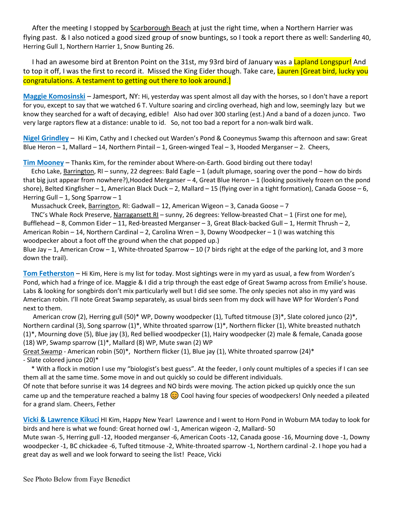After the meeting I stopped by Scarborough Beach at just the right time, when a Northern Harrier was flying past. & I also noticed a good sized group of snow buntings, so I took a report there as well: Sanderling 40, Herring Gull 1, Northern Harrier 1, Snow Bunting 26.

I had an awesome bird at Brenton Point on the 31st, my 93rd bird of January was a Lapland Longspur! And to top it off, I was the first to record it. Missed the King Eider though. Take care, Lauren [Great bird, lucky you congratulations. A testament to getting out there to look around.]

**Maggie Komosinski** – Jamesport, NY: Hi, yesterday was spent almost all day with the horses, so I don't have a report for you, except to say that we watched 6 T. Vulture soaring and circling overhead, high and low, seemingly lazy but we know they searched for a waft of decaying, edible! Also had over 300 starling (est.) And a band of a dozen junco. Two very large raptors flew at a distance: unable to id. So, not too bad a report for a non-walk bird walk.

**Nigel Grindley** – Hi Kim, Cathy and I checked out Warden's Pond & Cooneymus Swamp this afternoon and saw: Great Blue Heron  $-1$ , Mallard  $-14$ , Northern Pintail  $-1$ , Green-winged Teal  $-3$ , Hooded Merganser  $-2$ . Cheers,

**Tim Mooney** – Thanks Kim, for the reminder about Where-on-Earth. Good birding out there today!

Echo Lake, Barrington, RI – sunny, 22 degrees: Bald Eagle – 1 (adult plumage, soaring over the pond – how do birds that big just appear from nowhere?),Hooded Merganser – 4, Great Blue Heron – 1 (looking positively frozen on the pond shore), Belted Kingfisher – 1, American Black Duck – 2, Mallard – 15 (flying over in a tight formation), Canada Goose – 6, Herring Gull – 1, Song Sparrow – 1

Mussachuck Creek, Barrington, RI: Gadwall – 12, American Wigeon – 3, Canada Goose – 7

 TNC's Whale Rock Preserve, Narragansett RI – sunny, 26 degrees: Yellow-breasted Chat – 1 (First one for me), Bufflehead – 8, Common Eider – 11, Red-breasted Merganser – 3, Great Black-backed Gull – 1, Hermit Thrush – 2, American Robin – 14, Northern Cardinal – 2, Carolina Wren – 3, Downy Woodpecker – 1 (I was watching this woodpecker about a foot off the ground when the chat popped up.)

Blue Jay  $-$  1, American Crow  $-$  1, White-throated Sparrow  $-$  10 (7 birds right at the edge of the parking lot, and 3 more down the trail).

**Tom Fetherston** – Hi Kim, Here is my list for today. Most sightings were in my yard as usual, a few from Worden's Pond, which had a fringe of ice. Maggie & I did a trip through the east edge of Great Swamp across from Emilie's house. Labs & looking for songbirds don't mix particularly well but I did see some. The only species not also in my yard was American robin. I'll note Great Swamp separately, as usual birds seen from my dock will have WP for Worden's Pond next to them.

American crow (2), Herring gull (50)\* WP, Downy woodpecker (1), Tufted titmouse (3)\*, Slate colored junco (2)\*, Northern cardinal (3), Song sparrow (1)\*, White throated sparrow (1)\*, Northern flicker (1), White breasted nuthatch (1)\*, Mourning dove (5), Blue jay (3), Red bellied woodpecker (1), Hairy woodpecker (2) male & female, Canada goose (18) WP, Swamp sparrow (1)\*, Mallard (8) WP, Mute swan (2) WP

Great Swamp - American robin (50)\*, Northern flicker (1), Blue jay (1), White throated sparrow (24)\* - Slate colored junco (20)\*

 \* With a flock in motion I use my "biologist's best guess". At the feeder, I only count multiples of a species if I can see them all at the same time. Some move in and out quickly so could be different individuals.

Of note that before sunrise it was 14 degrees and NO birds were moving. The action picked up quickly once the sun came up and the temperature reached a balmy 18  $\odot$  Cool having four species of woodpeckers! Only needed a pileated for a grand slam. Cheers, Fether

**Vicki & Lawrence Kikuci** HI Kim, Happy New Year! Lawrence and I went to Horn Pond in Woburn MA today to look for birds and here is what we found: Great horned owl -1, American wigeon -2, Mallard- 50

Mute swan -5, Herring gull -12, Hooded merganser -6, American Coots -12, Canada goose -16, Mourning dove -1, Downy woodpecker -1, BC chickadee -6, Tufted titmouse -2, White-throated sparrow -1, Northern cardinal -2. I hope you had a great day as well and we look forward to seeing the list! Peace, Vicki